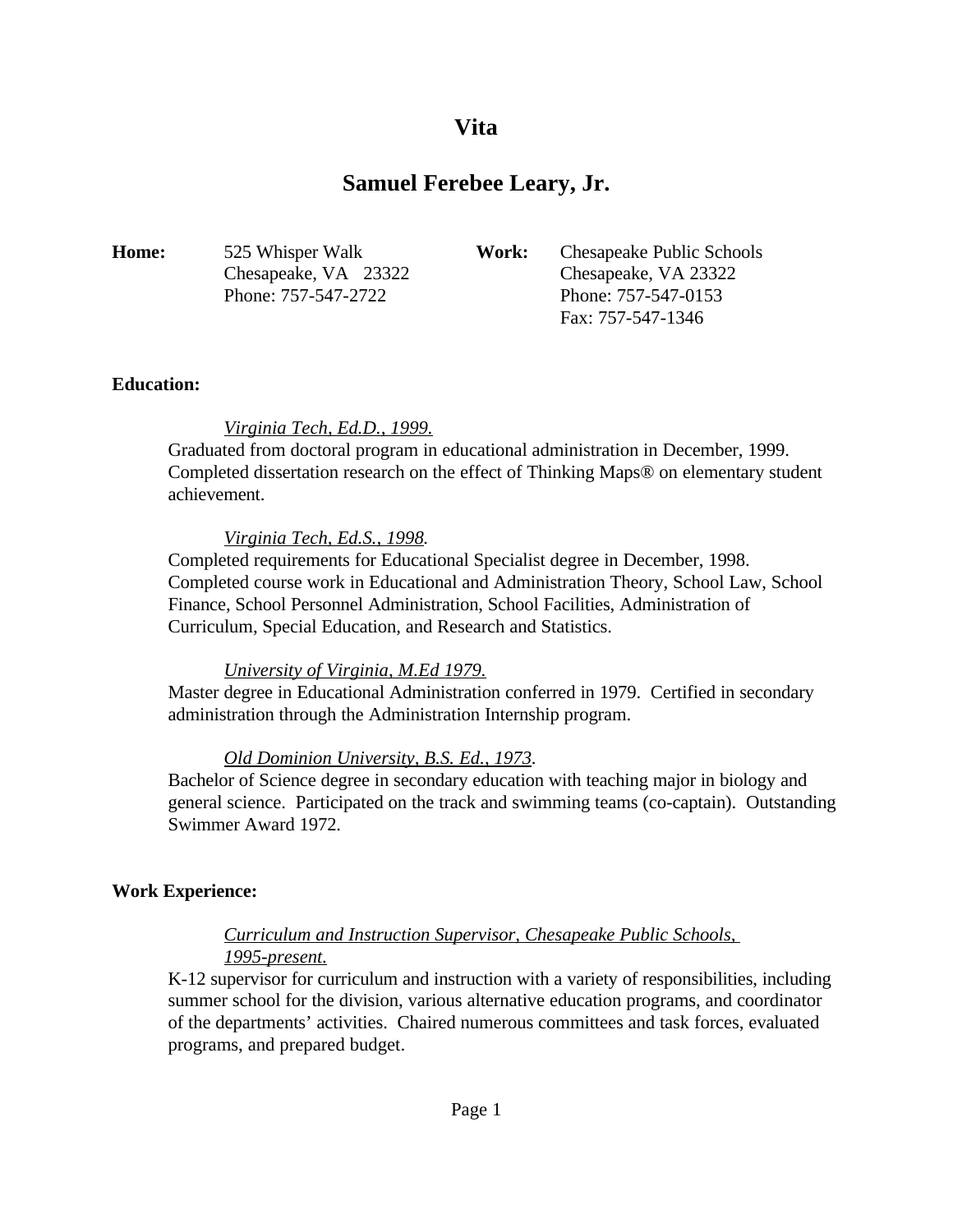# **Vita**

# **Samuel Ferebee Leary, Jr.**

| <b>Home:</b> | 525 Whisper Walk     | Work: | Chesapeake Public Schools |
|--------------|----------------------|-------|---------------------------|
|              | Chesapeake, VA 23322 |       | Chesapeake, VA 23322      |
|              | Phone: 757-547-2722  |       | Phone: 757-547-0153       |
|              |                      |       | Fax: 757-547-1346         |

### **Education:**

#### *Virginia Tech, Ed.D., 1999.*

Graduated from doctoral program in educational administration in December, 1999. Completed dissertation research on the effect of Thinking Maps® on elementary student achievement.

#### *Virginia Tech, Ed.S., 1998.*

Completed requirements for Educational Specialist degree in December, 1998. Completed course work in Educational and Administration Theory, School Law, School Finance, School Personnel Administration, School Facilities, Administration of Curriculum, Special Education, and Research and Statistics.

### *University of Virginia, M.Ed 1979.*

Master degree in Educational Administration conferred in 1979. Certified in secondary administration through the Administration Internship program.

### *Old Dominion University, B.S. Ed., 1973.*

Bachelor of Science degree in secondary education with teaching major in biology and general science. Participated on the track and swimming teams (co-captain). Outstanding Swimmer Award 1972.

#### **Work Experience:**

## *Curriculum and Instruction Supervisor, Chesapeake Public Schools, 1995-present.*

K-12 supervisor for curriculum and instruction with a variety of responsibilities, including summer school for the division, various alternative education programs, and coordinator of the departments' activities. Chaired numerous committees and task forces, evaluated programs, and prepared budget.